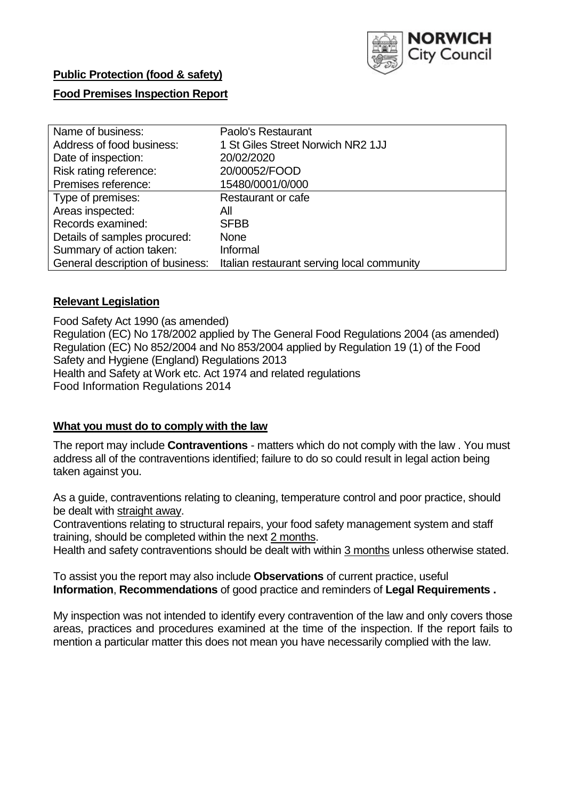

| Name of business:            | Paolo's Restaurant                                                          |
|------------------------------|-----------------------------------------------------------------------------|
| Address of food business:    | 1 St Giles Street Norwich NR2 1JJ                                           |
| Date of inspection:          | 20/02/2020                                                                  |
| Risk rating reference:       | 20/00052/FOOD                                                               |
| Premises reference:          | 15480/0001/0/000                                                            |
| Type of premises:            | Restaurant or cafe                                                          |
| Areas inspected:             | All                                                                         |
| Records examined:            | <b>SFBB</b>                                                                 |
| Details of samples procured: | <b>None</b>                                                                 |
| Summary of action taken:     | Informal                                                                    |
|                              | General description of business: Italian restaurant serving local community |

#### **Relevant Legislation**

Food Safety Act 1990 (as amended) Regulation (EC) No 178/2002 applied by The General Food Regulations 2004 (as amended) Regulation (EC) No 852/2004 and No 853/2004 applied by Regulation 19 (1) of the Food Safety and Hygiene (England) Regulations 2013 Health and Safety at Work etc. Act 1974 and related regulations Food Information Regulations 2014

#### **What you must do to comply with the law**

The report may include **Contraventions** - matters which do not comply with the law . You must address all of the contraventions identified; failure to do so could result in legal action being taken against you.

As a guide, contraventions relating to cleaning, temperature control and poor practice, should be dealt with straight away.

Contraventions relating to structural repairs, your food safety management system and staff training, should be completed within the next 2 months.

Health and safety contraventions should be dealt with within 3 months unless otherwise stated.

To assist you the report may also include **Observations** of current practice, useful **Information**, **Recommendations** of good practice and reminders of **Legal Requirements .**

My inspection was not intended to identify every contravention of the law and only covers those areas, practices and procedures examined at the time of the inspection. If the report fails to mention a particular matter this does not mean you have necessarily complied with the law.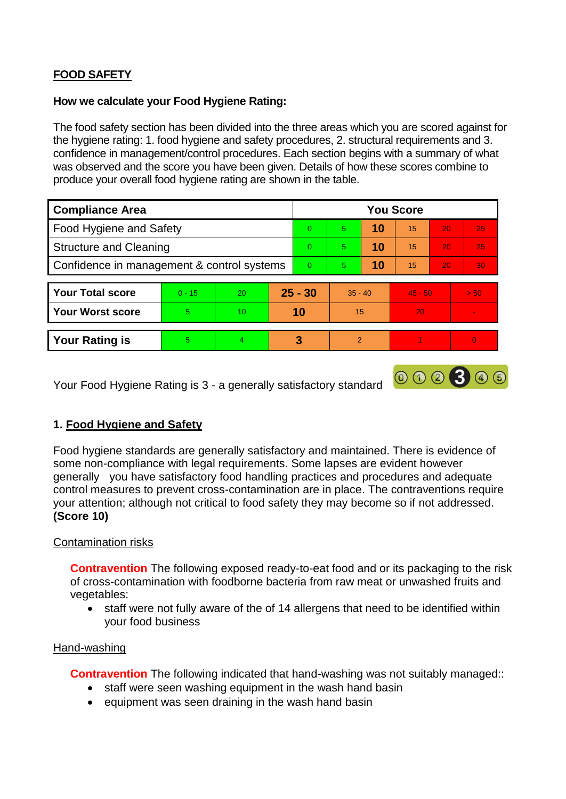# **FOOD SAFETY**

#### **How we calculate your Food Hygiene Rating:**

The food safety section has been divided into the three areas which you are scored against for the hygiene rating: 1. food hygiene and safety procedures, 2. structural requirements and 3. confidence in management/control procedures. Each section begins with a summary of what was observed and the score you have been given. Details of how these scores combine to produce your overall food hygiene rating are shown in the table.

| <b>Compliance Area</b>                     |          |    |           | <b>You Score</b> |                |    |           |    |                |  |  |
|--------------------------------------------|----------|----|-----------|------------------|----------------|----|-----------|----|----------------|--|--|
| Food Hygiene and Safety                    |          |    |           | $\Omega$         | 5              | 10 | 15        | 20 | 25             |  |  |
| <b>Structure and Cleaning</b>              |          |    | $\Omega$  | 5                | 10             | 15 | 20        | 25 |                |  |  |
| Confidence in management & control systems |          |    | $\Omega$  | 5                | 10             | 15 | 20        | 30 |                |  |  |
|                                            |          |    |           |                  |                |    |           |    |                |  |  |
| <b>Your Total score</b>                    | $0 - 15$ | 20 | $25 - 30$ |                  | $35 - 40$      |    | $45 - 50$ |    | > 50           |  |  |
| <b>Your Worst score</b>                    | 5        | 10 | 10        |                  | 15             |    | 20        |    |                |  |  |
|                                            |          |    |           |                  |                |    |           |    |                |  |  |
| <b>Your Rating is</b>                      | 5        | 4  |           | 3                | $\overline{2}$ |    |           |    | $\overline{0}$ |  |  |

Your Food Hygiene Rating is 3 - a generally satisfactory standard

## **1. Food Hygiene and Safety**

Food hygiene standards are generally satisfactory and maintained. There is evidence of some non-compliance with legal requirements. Some lapses are evident however generally you have satisfactory food handling practices and procedures and adequate control measures to prevent cross-contamination are in place. The contraventions require your attention; although not critical to food safety they may become so if not addressed. **(Score 10)**

000300

#### Contamination risks

**Contravention** The following exposed ready-to-eat food and or its packaging to the risk of cross-contamination with foodborne bacteria from raw meat or unwashed fruits and vegetables:

 staff were not fully aware of the of 14 allergens that need to be identified within your food business

#### Hand-washing

**Contravention** The following indicated that hand-washing was not suitably managed::

- staff were seen washing equipment in the wash hand basin
- equipment was seen draining in the wash hand basin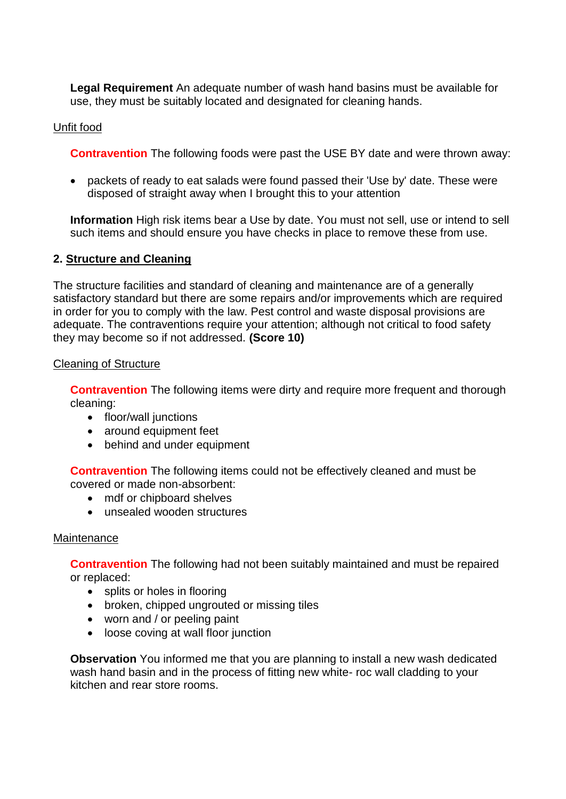**Legal Requirement** An adequate number of wash hand basins must be available for use, they must be suitably located and designated for cleaning hands.

### Unfit food

**Contravention** The following foods were past the USE BY date and were thrown away:

 packets of ready to eat salads were found passed their 'Use by' date. These were disposed of straight away when I brought this to your attention

**Information** High risk items bear a Use by date. You must not sell, use or intend to sell such items and should ensure you have checks in place to remove these from use.

#### **2. Structure and Cleaning**

The structure facilities and standard of cleaning and maintenance are of a generally satisfactory standard but there are some repairs and/or improvements which are required in order for you to comply with the law. Pest control and waste disposal provisions are adequate. The contraventions require your attention; although not critical to food safety they may become so if not addressed. **(Score 10)**

#### Cleaning of Structure

**Contravention** The following items were dirty and require more frequent and thorough cleaning:

- floor/wall junctions
- around equipment feet
- behind and under equipment

**Contravention** The following items could not be effectively cleaned and must be covered or made non-absorbent:

- mdf or chipboard shelves
- unsealed wooden structures

#### **Maintenance**

**Contravention** The following had not been suitably maintained and must be repaired or replaced:

- splits or holes in flooring
- broken, chipped ungrouted or missing tiles
- worn and / or peeling paint
- loose coving at wall floor junction

**Observation** You informed me that you are planning to install a new wash dedicated wash hand basin and in the process of fitting new white- roc wall cladding to your kitchen and rear store rooms.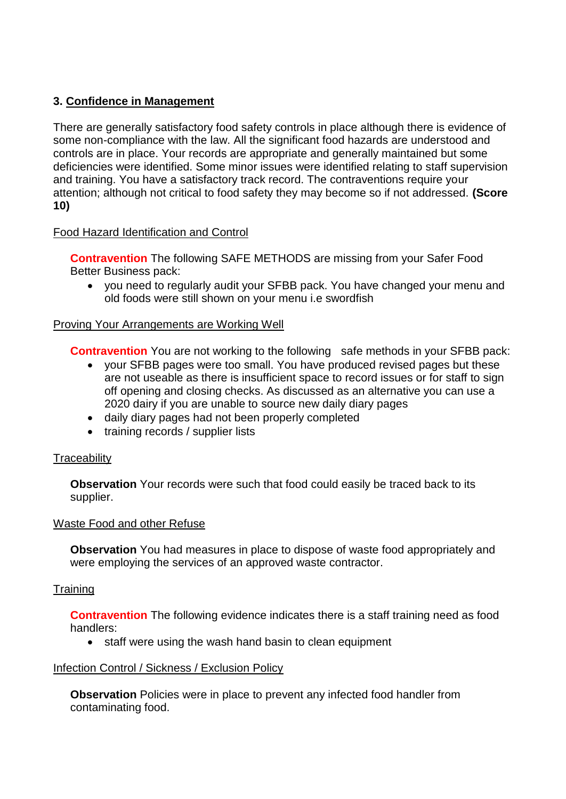### **3. Confidence in Management**

There are generally satisfactory food safety controls in place although there is evidence of some non-compliance with the law. All the significant food hazards are understood and controls are in place. Your records are appropriate and generally maintained but some deficiencies were identified. Some minor issues were identified relating to staff supervision and training. You have a satisfactory track record. The contraventions require your attention; although not critical to food safety they may become so if not addressed. **(Score 10)**

### Food Hazard Identification and Control

**Contravention** The following SAFE METHODS are missing from your Safer Food Better Business pack:

 you need to regularly audit your SFBB pack. You have changed your menu and old foods were still shown on your menu i.e swordfish

### Proving Your Arrangements are Working Well

**Contravention** You are not working to the following safe methods in your SFBB pack:

- your SFBB pages were too small. You have produced revised pages but these are not useable as there is insufficient space to record issues or for staff to sign off opening and closing checks. As discussed as an alternative you can use a 2020 dairy if you are unable to source new daily diary pages
- daily diary pages had not been properly completed
- training records / supplier lists

#### **Traceability**

**Observation** Your records were such that food could easily be traced back to its supplier.

#### Waste Food and other Refuse

**Observation** You had measures in place to dispose of waste food appropriately and were employing the services of an approved waste contractor.

## **Training**

**Contravention** The following evidence indicates there is a staff training need as food handlers:

• staff were using the wash hand basin to clean equipment

#### Infection Control / Sickness / Exclusion Policy

**Observation** Policies were in place to prevent any infected food handler from contaminating food.